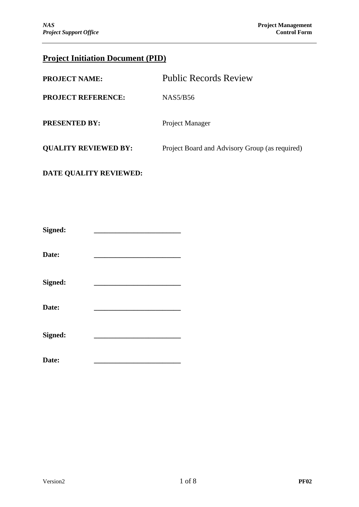# **Project Initiation Document (PID)**

| <b>PROJECT NAME:</b>        | <b>Public Records Review</b>                   |
|-----------------------------|------------------------------------------------|
| <b>PROJECT REFERENCE:</b>   | NAS5/B56                                       |
| <b>PRESENTED BY:</b>        | Project Manager                                |
| <b>QUALITY REVIEWED BY:</b> | Project Board and Advisory Group (as required) |
|                             |                                                |

# **DATE QUALITY REVIEWED:**

| Signed: |  |
|---------|--|
| Date:   |  |
| Signed: |  |
| Date:   |  |
| Signed: |  |

Date: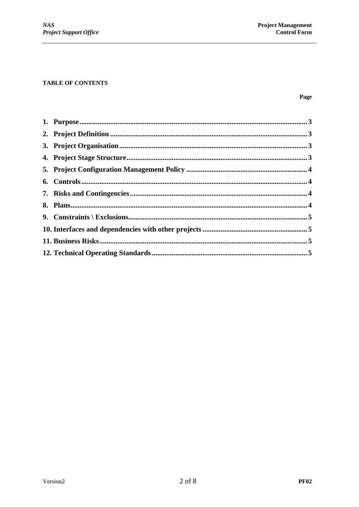#### **TABLE OF CONTENTS**

#### Page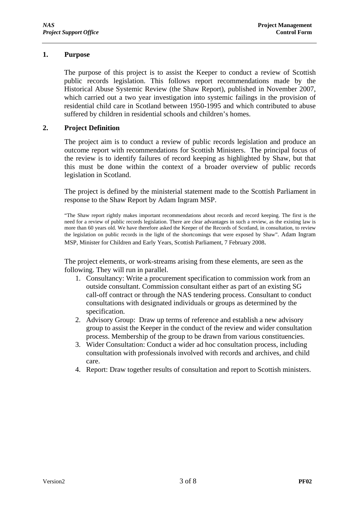## **1. Purpose**

The purpose of this project is to assist the Keeper to conduct a review of Scottish public records legislation. This follows report recommendations made by the Historical Abuse Systemic Review (the Shaw Report), published in November 2007, which carried out a two year investigation into systemic failings in the provision of residential child care in Scotland between 1950-1995 and which contributed to abuse suffered by children in residential schools and children's homes.

## **2. Project Definition**

The project aim is to conduct a review of public records legislation and produce an outcome report with recommendations for Scottish Ministers. The principal focus of the review is to identify failures of record keeping as highlighted by Shaw, but that this must be done within the context of a broader overview of public records legislation in Scotland.

The project is defined by the ministerial statement made to the Scottish Parliament in response to the Shaw Report by Adam Ingram MSP.

"The Shaw report rightly makes important recommendations about records and record keeping. The first is the need for a review of public records legislation. There are clear advantages in such a review, as the existing law is more than 60 years old. We have therefore asked the Keeper of the Records of Scotland, in consultation, to review the legislation on public records in the light of the shortcomings that were exposed by Shaw". Adam Ingram MSP, Minister for Children and Early Years, Scottish Parliament, 7 February 2008.

The project elements, or work-streams arising from these elements, are seen as the following. They will run in parallel.

- 1. Consultancy: Write a procurement specification to commission work from an outside consultant. Commission consultant either as part of an existing SG call-off contract or through the NAS tendering process. Consultant to conduct consultations with designated individuals or groups as determined by the specification.
- 2. Advisory Group: Draw up terms of reference and establish a new advisory group to assist the Keeper in the conduct of the review and wider consultation process. Membership of the group to be drawn from various constituencies.
- 3. Wider Consultation: Conduct a wider ad hoc consultation process, including consultation with professionals involved with records and archives, and child care.
- 4. Report: Draw together results of consultation and report to Scottish ministers.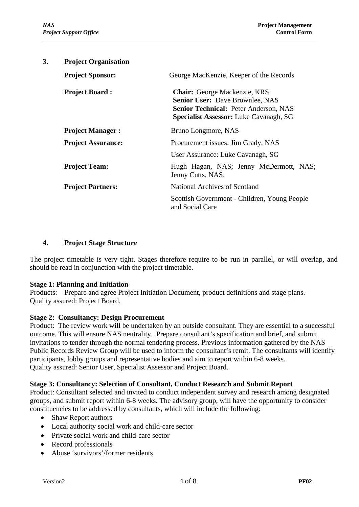| 3. | <b>Project Organisation</b> |                                                                                                                                                                  |
|----|-----------------------------|------------------------------------------------------------------------------------------------------------------------------------------------------------------|
|    | <b>Project Sponsor:</b>     | George MacKenzie, Keeper of the Records                                                                                                                          |
|    | <b>Project Board:</b>       | Chair: George Mackenzie, KRS<br>Senior User: Dave Brownlee, NAS<br><b>Senior Technical: Peter Anderson, NAS</b><br><b>Specialist Assessor:</b> Luke Cavanagh, SG |
|    | <b>Project Manager:</b>     | Bruno Longmore, NAS                                                                                                                                              |
|    | <b>Project Assurance:</b>   | Procurement issues: Jim Grady, NAS                                                                                                                               |
|    |                             | User Assurance: Luke Cavanagh, SG                                                                                                                                |
|    | <b>Project Team:</b>        | Hugh Hagan, NAS; Jenny McDermott, NAS;<br>Jenny Cutts, NAS.                                                                                                      |
|    | <b>Project Partners:</b>    | National Archives of Scotland                                                                                                                                    |
|    |                             | Scottish Government - Children, Young People<br>and Social Care                                                                                                  |
|    |                             |                                                                                                                                                                  |

#### **4. Project Stage Structure**

The project timetable is very tight. Stages therefore require to be run in parallel, or will overlap, and should be read in conjunction with the project timetable.

#### **Stage 1: Planning and Initiation**

Products: Prepare and agree Project Initiation Document, product definitions and stage plans. Quality assured: Project Board.

#### **Stage 2: Consultancy: Design Procurement**

Product: The review work will be undertaken by an outside consultant. They are essential to a successful outcome. This will ensure NAS neutrality. Prepare consultant's specification and brief, and submit invitations to tender through the normal tendering process. Previous information gathered by the NAS Public Records Review Group will be used to inform the consultant's remit. The consultants will identify participants, lobby groups and representative bodies and aim to report within 6-8 weeks. Quality assured: Senior User, Specialist Assessor and Project Board.

#### **Stage 3: Consultancy: Selection of Consultant, Conduct Research and Submit Report**

Product: Consultant selected and invited to conduct independent survey and research among designated groups, and submit report within 6-8 weeks. The advisory group, will have the opportunity to consider constituencies to be addressed by consultants, which will include the following:

- Shaw Report authors
- Local authority social work and child-care sector
- Private social work and child-care sector
- Record professionals
- Abuse 'survivors'/former residents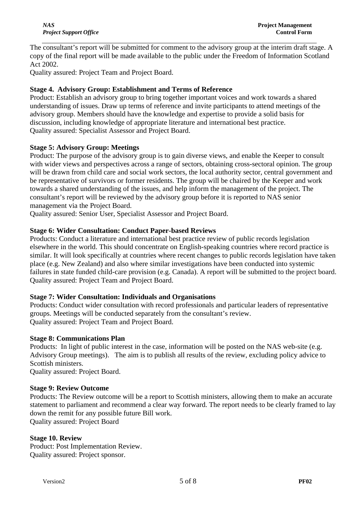The consultant's report will be submitted for comment to the advisory group at the interim draft stage. A copy of the final report will be made available to the public under the Freedom of Information Scotland Act 2002.

Quality assured: Project Team and Project Board.

# **Stage 4. Advisory Group: Establishment and Terms of Reference**

Product: Establish an advisory group to bring together important voices and work towards a shared understanding of issues. Draw up terms of reference and invite participants to attend meetings of the advisory group. Members should have the knowledge and expertise to provide a solid basis for discussion, including knowledge of appropriate literature and international best practice. Quality assured: Specialist Assessor and Project Board.

## **Stage 5: Advisory Group: Meetings**

Product: The purpose of the advisory group is to gain diverse views, and enable the Keeper to consult with wider views and perspectives across a range of sectors, obtaining cross-sectoral opinion. The group will be drawn from child care and social work sectors, the local authority sector, central government and be representative of survivors or former residents. The group will be chaired by the Keeper and work towards a shared understanding of the issues, and help inform the management of the project. The consultant's report will be reviewed by the advisory group before it is reported to NAS senior management via the Project Board.

Quality assured: Senior User, Specialist Assessor and Project Board.

# **Stage 6: Wider Consultation: Conduct Paper-based Reviews**

Products: Conduct a literature and international best practice review of public records legislation elsewhere in the world. This should concentrate on English-speaking countries where record practice is similar. It will look specifically at countries where recent changes to public records legislation have taken place (e.g. New Zealand) and also where similar investigations have been conducted into systemic failures in state funded child-care provision (e.g. Canada). A report will be submitted to the project board. Quality assured: Project Team and Project Board.

## **Stage 7: Wider Consultation: Individuals and Organisations**

Products: Conduct wider consultation with record professionals and particular leaders of representative groups. Meetings will be conducted separately from the consultant's review. Quality assured: Project Team and Project Board.

## **Stage 8: Communications Plan**

Products: In light of public interest in the case, information will be posted on the NAS web-site (e.g. Advisory Group meetings). The aim is to publish all results of the review, excluding policy advice to Scottish ministers.

Quality assured: Project Board.

## **Stage 9: Review Outcome**

Products: The Review outcome will be a report to Scottish ministers, allowing them to make an accurate statement to parliament and recommend a clear way forward. The report needs to be clearly framed to lay down the remit for any possible future Bill work. Quality assured: Project Board

## **Stage 10. Review**

Product: Post Implementation Review. Quality assured: Project sponsor.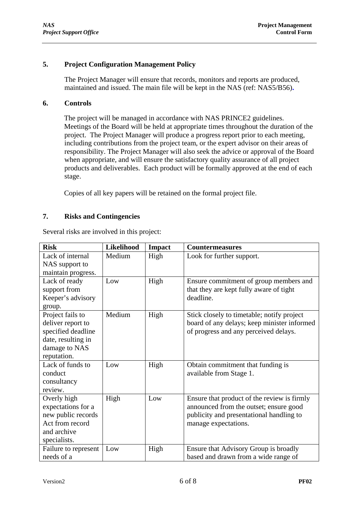## **5. Project Configuration Management Policy**

 The Project Manager will ensure that records, monitors and reports are produced, maintained and issued. The main file will be kept in the NAS (ref: NAS5/B56)**.**

#### **6. Controls**

The project will be managed in accordance with NAS PRINCE2 guidelines. Meetings of the Board will be held at appropriate times throughout the duration of the project. The Project Manager will produce a progress report prior to each meeting, including contributions from the project team, or the expert advisor on their areas of responsibility. The Project Manager will also seek the advice or approval of the Board when appropriate, and will ensure the satisfactory quality assurance of all project products and deliverables. Each product will be formally approved at the end of each stage.

Copies of all key papers will be retained on the formal project file.

### **7. Risks and Contingencies**

Several risks are involved in this project:

| <b>Risk</b>          | <b>Likelihood</b> | <b>Impact</b> | <b>Countermeasures</b>                      |
|----------------------|-------------------|---------------|---------------------------------------------|
| Lack of internal     | Medium            | High          | Look for further support.                   |
| NAS support to       |                   |               |                                             |
| maintain progress.   |                   |               |                                             |
| Lack of ready        | Low               | High          | Ensure commitment of group members and      |
| support from         |                   |               | that they are kept fully aware of tight     |
| Keeper's advisory    |                   |               | deadline.                                   |
| group.               |                   |               |                                             |
| Project fails to     | Medium            | High          | Stick closely to timetable; notify project  |
| deliver report to    |                   |               | board of any delays; keep minister informed |
| specified deadline   |                   |               | of progress and any perceived delays.       |
| date, resulting in   |                   |               |                                             |
| damage to NAS        |                   |               |                                             |
| reputation.          |                   |               |                                             |
| Lack of funds to     | Low               | High          | Obtain commitment that funding is           |
| conduct              |                   |               | available from Stage 1.                     |
| consultancy          |                   |               |                                             |
| review.              |                   |               |                                             |
| Overly high          | High              | Low           | Ensure that product of the review is firmly |
| expectations for a   |                   |               | announced from the outset; ensure good      |
| new public records   |                   |               | publicity and presentational handling to    |
| Act from record      |                   |               | manage expectations.                        |
| and archive          |                   |               |                                             |
| specialists.         |                   |               |                                             |
| Failure to represent | Low               | High          | Ensure that Advisory Group is broadly       |
| needs of a           |                   |               | based and drawn from a wide range of        |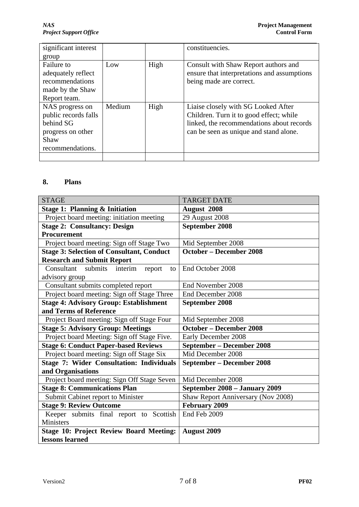*NAS* **Project Management** *Project Support Office* **Control Form** 

| significant interest |        |      | constituencies.                             |
|----------------------|--------|------|---------------------------------------------|
| group                |        |      |                                             |
| Failure to           | Low    | High | Consult with Shaw Report authors and        |
| adequately reflect   |        |      | ensure that interpretations and assumptions |
| recommendations      |        |      | being made are correct.                     |
| made by the Shaw     |        |      |                                             |
| Report team.         |        |      |                                             |
| NAS progress on      | Medium | High | Liaise closely with SG Looked After         |
| public records falls |        |      | Children. Turn it to good effect; while     |
| behind SG            |        |      | linked, the recommendations about records   |
| progress on other    |        |      | can be seen as unique and stand alone.      |
| Shaw                 |        |      |                                             |
| recommendations.     |        |      |                                             |
|                      |        |      |                                             |

# **8. Plans**

| <b>STAGE</b>                                     | <b>TARGET DATE</b>                 |
|--------------------------------------------------|------------------------------------|
| <b>Stage 1: Planning &amp; Initiation</b>        | <b>August 2008</b>                 |
| Project board meeting: initiation meeting        | 29 August 2008                     |
| <b>Stage 2: Consultancy: Design</b>              | <b>September 2008</b>              |
| Procurement                                      |                                    |
| Project board meeting: Sign off Stage Two        | Mid September 2008                 |
| <b>Stage 3: Selection of Consultant, Conduct</b> | <b>October - December 2008</b>     |
| <b>Research and Submit Report</b>                |                                    |
| Consultant submits<br>interim<br>report<br>to    | End October 2008                   |
| advisory group                                   |                                    |
| Consultant submits completed report              | End November 2008                  |
| Project board meeting: Sign off Stage Three      | End December 2008                  |
| <b>Stage 4: Advisory Group: Establishment</b>    | <b>September 2008</b>              |
| and Terms of Reference                           |                                    |
| Project Board meeting: Sign off Stage Four       | Mid September 2008                 |
| <b>Stage 5: Advisory Group: Meetings</b>         | <b>October - December 2008</b>     |
| Project board Meeting: Sign off Stage Five.      | Early December 2008                |
| <b>Stage 6: Conduct Paper-based Reviews</b>      | September – December 2008          |
| Project board meeting: Sign off Stage Six        | Mid December 2008                  |
| <b>Stage 7: Wider Consultation: Individuals</b>  | September – December 2008          |
| and Organisations                                |                                    |
| Project board meeting: Sign Off Stage Seven      | Mid December 2008                  |
| <b>Stage 8: Communications Plan</b>              | September 2008 - January 2009      |
| Submit Cabinet report to Minister                | Shaw Report Anniversary (Nov 2008) |
| <b>Stage 9: Review Outcome</b>                   | February 2009                      |
| Keeper submits final report to Scottish          | End Feb 2009                       |
| Ministers                                        |                                    |
| <b>Stage 10: Project Review Board Meeting:</b>   | <b>August 2009</b>                 |
| lessons learned                                  |                                    |